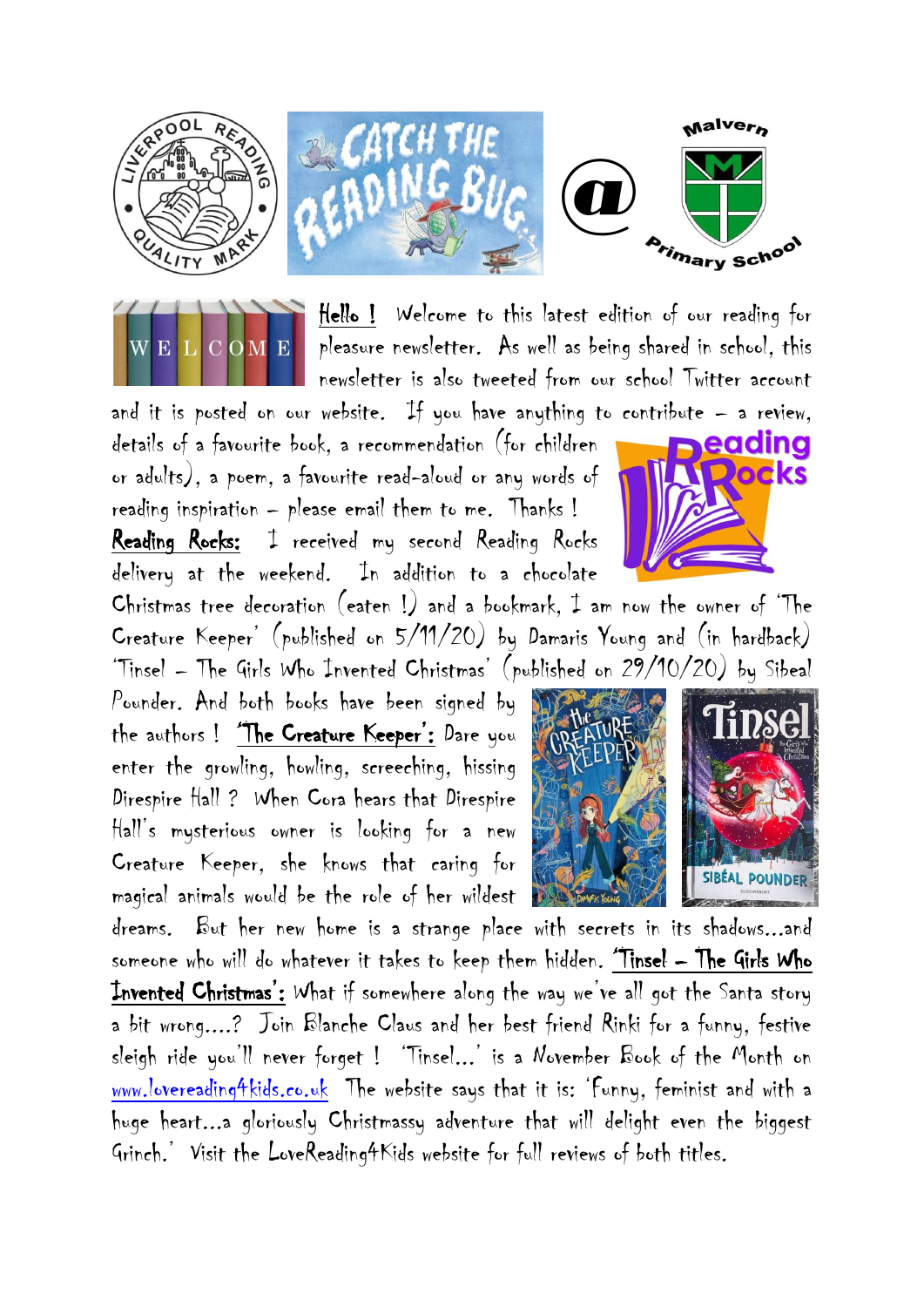



Hello ! Welcome to this latest edition of our reading for pleasure newsletter. As well as being shared in school, this newsletter is also tweeted from our school Twitter account

and it is posted on our website. If you have anything to contribute  $-$  a review. details of a favourite book, a recommendation (for children or adults), a poem, a favourite read-aloud or any words of reading inspiration – please email them to me. Thanks ! Reading Rocks: I received my second Reading Rocks delivery at the weekend. In addition to a chocolate

Christmas tree decoration (eaten !) and a bookmark, I am now the owner of 'The Creature Keeper' (published on 5/11/20) by Damaris Young and (in hardback) 'Tinsel – The Girls Who Invented Christmas' (published on 29/10/20) by Sibeal

Pounder. And both books have been signed by the authors ! 'The Creature Keeper': Dare you enter the growling, howling, screeching, hissing Direspire Hall ? When Cora hears that Direspire Hall's mysterious owner is looking for a new Creature Keeper, she knows that caring for magical animals would be the role of her wildest





dreams. But her new home is a strange place with secrets in its shadows...and someone who will do whatever it takes to keep them hidden. 'Tinsel – The Girls Who Invented Christmas': What if somewhere along the way we've all got the Santa story a bit wrong....? Join Blanche Claus and her best friend Rinki for a funny, festive sleigh ride you'll never forget ! 'Tinsel...' is a November Book of the Month on [www.lovereading4kids.co.uk](http://www.lovereading4kids.co.uk/) The website says that it is: 'Funny, feminist and with a huge heart...a gloriously Christmassy adventure that will delight even the biggest Grinch.' Visit the LoveReading4Kids website for full reviews of both titles.